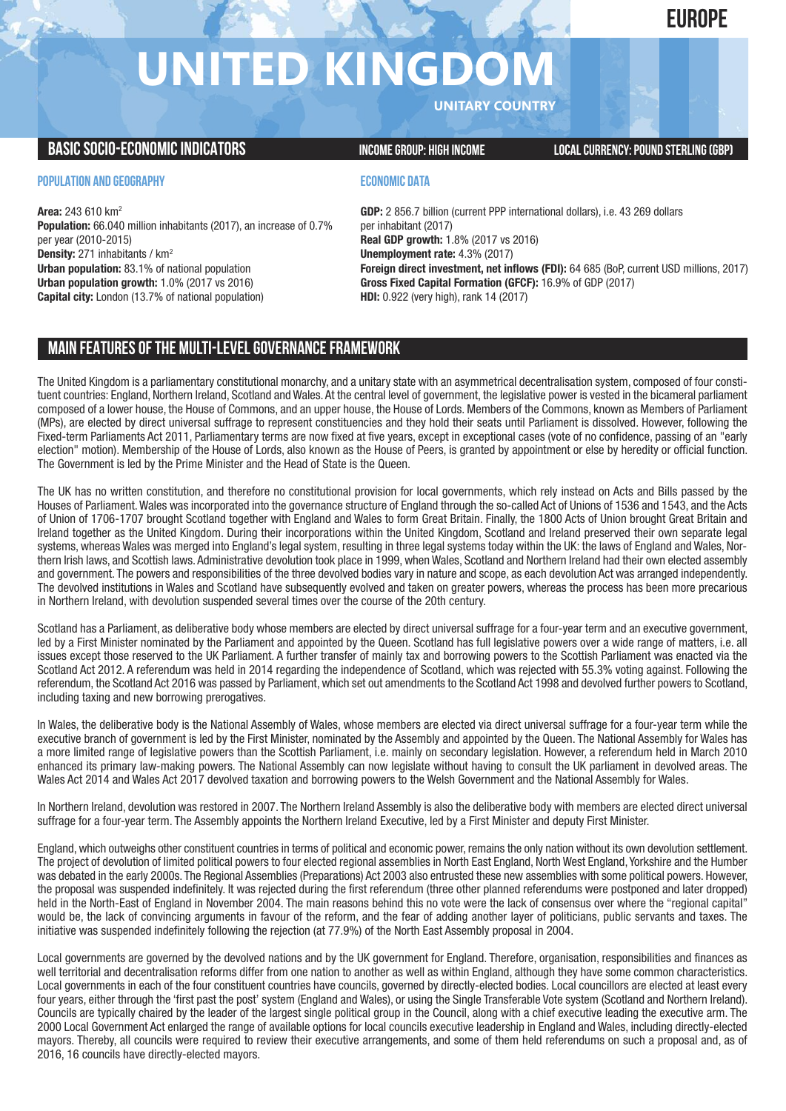# **EUROPE**

# **UNITED KINGDO**

**UNITARY COUNTRY**

## **BASICSOCIO-ECONOMICINDICATORS INCOMEGROUP: HIGH INCOME LOCALCURRENCY:POUND STERLING(GBP)**

### **POPULATION AND GEOGRAPHY**

**Area:** 243 610 km2 **Population:** 66.040 million inhabitants (2017), an increase of 0.7% per year (2010-2015) **Density:** 271 inhabitants / km2 **Urban population:** 83.1% of national population **Urban population growth:** 1.0% (2017 vs 2016) **Capital city:** London (13.7% of national population)

### **ECONOMIC DATA**

**GDP:** 2 856.7 billion (current PPP international dollars), i.e. 43 269 dollars per inhabitant (2017) **Real GDP growth:** 1.8% (2017 vs 2016) **Unemployment rate:** 4.3% (2017) **Foreign direct investment, net inflows (FDI):** 64 685 (BoP, current USD millions, 2017) **Gross Fixed Capital Formation (GFCF):** 16.9% of GDP (2017) **HDI:** 0.922 (very high), rank 14 (2017)

# **MAIN FEATURESOFTHE MULTI-LEVELGOVERNANCEFRAMEWORK**

The United Kingdom is a parliamentary constitutional monarchy, and a unitary state with an asymmetrical decentralisation system, composed of four constituent countries: England, Northern Ireland, Scotland and Wales. At the central level of government, the legislative power is vested in the bicameral parliament composed of a lower house, the House of Commons, and an upper house, the House of Lords. Members of the Commons, known as Members of Parliament (MPs), are elected by direct universal suffrage to represent constituencies and they hold their seats until Parliament is dissolved. However, following the Fixed-term Parliaments Act 2011, Parliamentary terms are now fixed at five years, except in exceptional cases (vote of no confidence, passing of an "early election" motion). Membership of the House of Lords, also known as the House of Peers, is granted by appointment or else by heredity or official function. The Government is led by the Prime Minister and the Head of State is the Queen.

The UK has no written constitution, and therefore no constitutional provision for local governments, which rely instead on Acts and Bills passed by the Houses of Parliament.Wales was incorporated into the governance structure of England through the so-called Act of Unions of 1536 and 1543, and the Acts of Union of 1706-1707 brought Scotland together with England and Wales to form Great Britain. Finally, the 1800 Acts of Union brought Great Britain and Ireland together as the United Kingdom. During their incorporations within the United Kingdom, Scotland and Ireland preserved their own separate legal systems, whereas Wales was merged into England's legal system, resulting in three legal systems today within the UK: the laws of England and Wales, Northern Irish laws, and Scottish laws. Administrative devolution took place in 1999, when Wales, Scotland and Northern Ireland had their own elected assembly and government. The powers and responsibilities of the three devolved bodies vary in nature and scope, as each devolution Act was arranged independently. The devolved institutions in Wales and Scotland have subsequently evolved and taken on greater powers, whereas the process has been more precarious in Northern Ireland, with devolution suspended several times over the course of the 20th century.

Scotland has a Parliament, as deliberative body whose members are elected by direct universal suffrage for a four-year term and an executive government, led by a First Minister nominated by the Parliament and appointed by the Queen. Scotland has full legislative powers over a wide range of matters, i.e. all issues except those reserved to the UK Parliament. A further transfer of mainly tax and borrowing powers to the Scottish Parliament was enacted via the Scotland Act 2012. A referendum was held in 2014 regarding the independence of Scotland, which was rejected with 55.3% voting against. Following the referendum, the Scotland Act 2016 was passed by Parliament, which set out amendments to the Scotland Act 1998 and devolved further powers to Scotland, including taxing and new borrowing prerogatives.

In Wales, the deliberative body is the National Assembly of Wales, whose members are elected via direct universal suffrage for a four-year term while the executive branch of government is led by the First Minister, nominated by the Assembly and appointed by the Queen. The National Assembly for Wales has a more limited range of legislative powers than the Scottish Parliament, i.e. mainly on secondary legislation. However, a referendum held in March 2010 enhanced its primary law-making powers. The National Assembly can now legislate without having to consult the UK parliament in devolved areas. The Wales Act 2014 and Wales Act 2017 devolved taxation and borrowing powers to the Welsh Government and the National Assembly for Wales.

In Northern Ireland, devolution was restored in 2007. The Northern Ireland Assembly is also the deliberative body with members are elected direct universal suffrage for a four-year term. The Assembly appoints the Northern Ireland Executive, led by a First Minister and deputy First Minister.

England,which outweighs other constituent countries in terms of political and economic power, remains the only nation without its own devolution settlement. The project of devolution of limited political powers to four elected regional assemblies in North East England, North West England, Yorkshire and the Humber was debated in the early 2000s. The Regional Assemblies (Preparations) Act 2003 also entrusted these new assemblies with some political powers. However, the proposal was suspended indefinitely. It was rejected during the first referendum (three other planned referendums were postponed and later dropped) held in the North-East of England in November 2004. The main reasons behind this no vote were the lack of consensus over where the "regional capital" would be, the lack of convincing arguments in favour of the reform, and the fear of adding another layer of politicians, public servants and taxes. The initiative was suspended indefinitely following the rejection (at 77.9%) of the North East Assembly proposal in 2004.

Local governments are governed by the devolved nations and by the UK government for England. Therefore, organisation, responsibilities and finances as well territorial and decentralisation reforms differ from one nation to another as well as within England, although they have some common characteristics. Local governments in each of the four constituent countries have councils, governed by directly-elected bodies. Local councillors are elected at least every four years, either through the 'first past the post' system (England and Wales), or using the Single Transferable Vote system (Scotland and Northern Ireland). Councils are typically chaired by the leader of the largest single political group in the Council, along with a chief executive leading the executive arm. The 2000 Local Government Act enlarged the range of available options for local councils executive leadership in England and Wales, including directly-elected mayors. Thereby, all councils were required to review their executive arrangements, and some of them held referendums on such a proposal and, as of 2016, 16 councils have directly-elected mayors.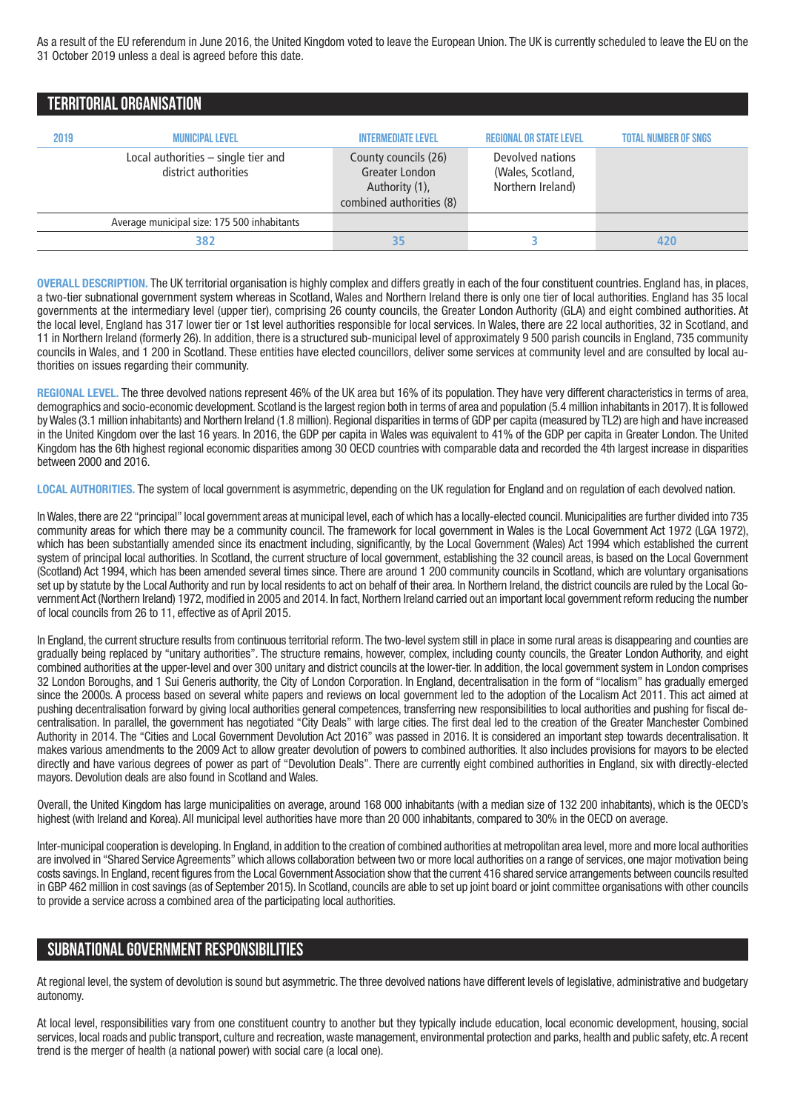As a result of the EU referendum in June 2016, the United Kingdom voted to leave the European Union. The UK is currently scheduled to leave the EU on the 31 October 2019 unless a deal is agreed before this date.

## **TERRITORIALORGANISATION**

| 2019 | <b>MUNICIPAL LEVEL</b>                                      | <b>INTERMEDIATE LEVEL</b>                                                            | <b>REGIONAL OR STATE LEVEL</b>                             | <b>TOTAL NUMBER OF SNGS</b> |
|------|-------------------------------------------------------------|--------------------------------------------------------------------------------------|------------------------------------------------------------|-----------------------------|
|      | Local authorities - single tier and<br>district authorities | County councils (26)<br>Greater London<br>Authority (1),<br>combined authorities (8) | Devolved nations<br>(Wales, Scotland,<br>Northern Ireland) |                             |
|      | Average municipal size: 175 500 inhabitants                 |                                                                                      |                                                            |                             |
|      | 382                                                         | 35                                                                                   |                                                            | 420                         |

**OVERALL DESCRIPTION.** The UK territorial organisation is highly complex and differs greatly in each of the four constituent countries. England has, in places, a two-tier subnational government system whereas in Scotland, Wales and Northern Ireland there is only one tier of local authorities. England has 35 local governments at the intermediary level (upper tier), comprising 26 county councils, the Greater London Authority (GLA) and eight combined authorities. At the local level, England has 317 lower tier or 1st level authorities responsible for local services. In Wales, there are 22 local authorities, 32 in Scotland, and 11 in Northern Ireland (formerly 26). In addition, there is a structured sub-municipal level of approximately 9 500 parish councils in England, 735 community councils in Wales, and 1 200 in Scotland. These entities have elected councillors, deliver some services at community level and are consulted by local authorities on issues regarding their community.

**REGIONAL LEVEL.** The three devolved nations represent 46% of the UK area but 16% of its population. They have very different characteristics in terms of area, demographics and socio-economic development. Scotland is the largest region both in terms of area and population (5.4 million inhabitants in 2017). It is followed byWales (3.1 million inhabitants) and Northern Ireland (1.8 million). Regional disparities in terms of GDP per capita (measured by TL2) are high and have increased in the United Kingdom over the last 16 years. In 2016, the GDP per capita in Wales was equivalent to 41% of the GDP per capita in Greater London. The United Kingdom has the 6th highest regional economic disparities among 30 OECD countries with comparable data and recorded the 4th largest increase in disparities between 2000 and 2016.

**LOCAL AUTHORITIES.** The system of local government is asymmetric, depending on the UK regulation for England and on regulation of each devolved nation.

InWales, there are 22 "principal" local government areas at municipal level, each of which has a locally-elected council.Municipalities are further divided into 735 community areas for which there may be a community council. The framework for local government in Wales is the Local Government Act 1972 (LGA 1972), which has been substantially amended since its enactment including, significantly, by the Local Government (Wales) Act 1994 which established the current system of principal local authorities. In Scotland, the current structure of local government, establishing the 32 council areas, is based on the Local Government (Scotland) Act 1994, which has been amended several times since. There are around 1 200 community councils in Scotland, which are voluntary organisations set up by statute by the Local Authority and run by local residents to act on behalf of their area. In Northern Ireland, the district councils are ruled by the Local Government Act (Northern Ireland) 1972, modified in 2005 and 2014. In fact, Northern Ireland carried out an important local government reform reducing the number of local councils from 26 to 11, effective as of April 2015.

In England, the current structure results from continuous territorial reform.The two-level system still in place in some rural areas is disappearing and counties are gradually being replaced by "unitary authorities". The structure remains, however, complex, including county councils, the Greater London Authority, and eight combined authorities at the upper-level and over 300 unitary and district councils at the lower-tier. In addition, the local government system in London comprises 32 London Boroughs, and 1 Sui Generis authority, the City of London Corporation. In England, decentralisation in the form of "localism" has gradually emerged since the 2000s. A process based on several white papers and reviews on local government led to the adoption of the Localism Act 2011. This act aimed at pushing decentralisation forward by giving local authorities general competences, transferring new responsibilities to local authorities and pushing for fiscal decentralisation. In parallel, the government has negotiated "City Deals" with large cities. The first deal led to the creation of the Greater Manchester Combined Authority in 2014. The "Cities and Local Government Devolution Act 2016" was passed in 2016. It is considered an important step towards decentralisation. It makes various amendments to the 2009 Act to allow greater devolution of powers to combined authorities. It also includes provisions for mayors to be elected directly and have various degrees of power as part of "Devolution Deals". There are currently eight combined authorities in England, six with directly-elected mayors. Devolution deals are also found in Scotland and Wales.

Overall, the United Kingdom has large municipalities on average, around 168 000 inhabitants (with a median size of 132 200 inhabitants), which is the OECD's highest (with Ireland and Korea). All municipal level authorities have more than 20 000 inhabitants, compared to 30% in the OECD on average.

Inter-municipal cooperation is developing. In England, in addition to the creation of combined authorities at metropolitan area level,more and more local authorities are involved in "Shared Service Agreements"which allows collaboration between two or more local authorities on a range of services, one major motivation being costs savings. In England, recent figures from the Local Government Association show that the current 416 shared service arrangements between councils resulted in GBP 462 million in cost savings (as of September 2015). In Scotland, councils are able to set up joint board or joint committee organisations with other councils to provide a service across a combined area of the participating local authorities.

### **SUBNATIONALGOVERNMENT RESPONSIBILITIES**

At regional level, the system of devolution is sound but asymmetric. The three devolved nations have different levels of legislative, administrative and budgetary autonomy.

At local level, responsibilities vary from one constituent country to another but they typically include education, local economic development, housing, social services, local roads and public transport, culture and recreation, waste management, environmental protection and parks, health and public safety, etc. A recent trend is the merger of health (a national power) with social care (a local one).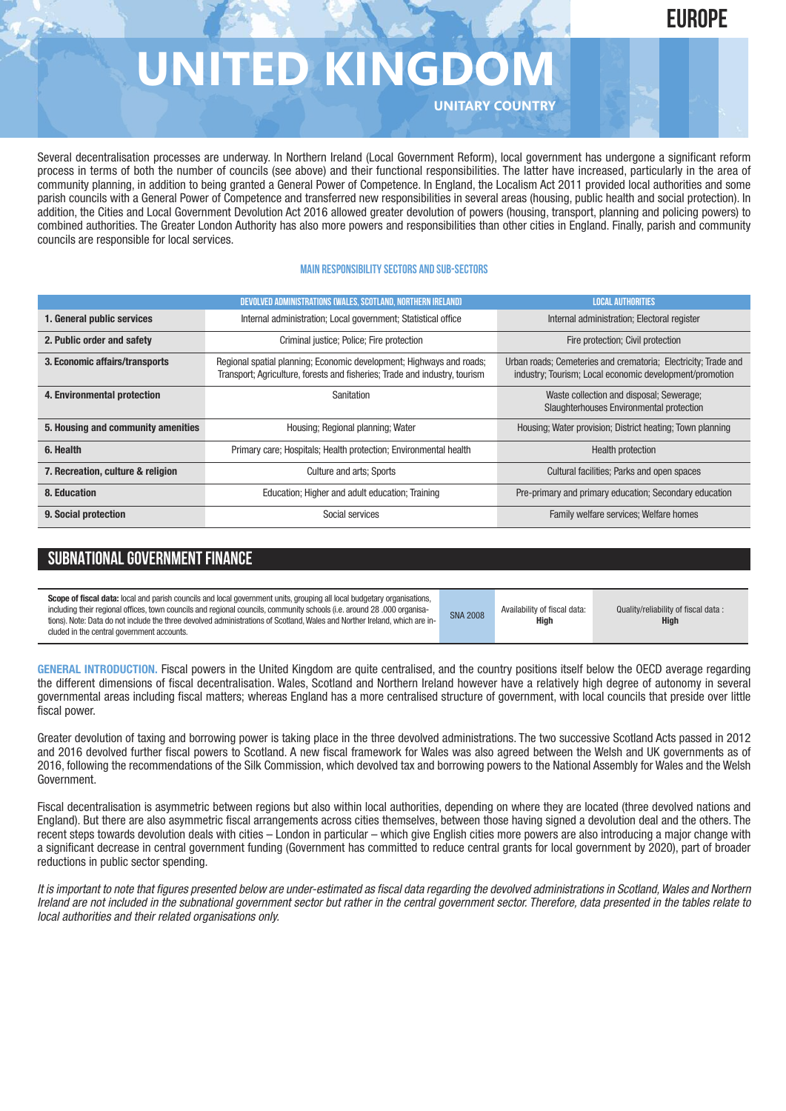# **EUROPE**

# **UNITED KINGD**

**UNITARY COUNTRY**

Several decentralisation processes are underway. In Northern Ireland (Local Government Reform), local government has undergone a significant reform process in terms of both the number of councils (see above) and their functional responsibilities. The latter have increased, particularly in the area of community planning, in addition to being granted a General Power of Competence. In England, the Localism Act 2011 provided local authorities and some parish councils with a General Power of Competence and transferred new responsibilities in several areas (housing, public health and social protection). In addition, the Cities and Local Government Devolution Act 2016 allowed greater devolution of powers (housing, transport, planning and policing powers) to combined authorities. The Greater London Authority has also more powers and responsibilities than other cities in England. Finally, parish and community councils are responsible for local services.

### **Main responsibilitysectors and sub-sectors**

|                                    | DEVOLVED ADMINISTRATIONS (WALES, SCOTLAND, NORTHERN IRELAND)                                                                                       | <b>LOCAL AUTHORITIES</b>                                                                                                  |  |
|------------------------------------|----------------------------------------------------------------------------------------------------------------------------------------------------|---------------------------------------------------------------------------------------------------------------------------|--|
| 1. General public services         | Internal administration; Local government; Statistical office                                                                                      | Internal administration; Electoral register                                                                               |  |
| 2. Public order and safety         | Criminal justice; Police; Fire protection                                                                                                          | Fire protection; Civil protection                                                                                         |  |
| 3. Economic affairs/transports     | Regional spatial planning; Economic development; Highways and roads;<br>Transport; Agriculture, forests and fisheries; Trade and industry, tourism | Urban roads; Cemeteries and crematoria; Electricity; Trade and<br>industry; Tourism; Local economic development/promotion |  |
| 4. Environmental protection        | Sanitation                                                                                                                                         | Waste collection and disposal; Sewerage;<br>Slaughterhouses Environmental protection                                      |  |
| 5. Housing and community amenities | Housing; Regional planning; Water                                                                                                                  | Housing; Water provision; District heating; Town planning                                                                 |  |
| 6. Health                          | Primary care; Hospitals; Health protection; Environmental health                                                                                   | <b>Health protection</b>                                                                                                  |  |
| 7. Recreation, culture & religion  | Culture and arts; Sports                                                                                                                           | Cultural facilities; Parks and open spaces                                                                                |  |
| 8. Education                       | Education; Higher and adult education; Training                                                                                                    | Pre-primary and primary education; Secondary education                                                                    |  |
| 9. Social protection               | Social services                                                                                                                                    | Family welfare services; Welfare homes                                                                                    |  |

# **SUBNATIONAL GOVERNMENT FINANCE**

**Scope of fiscal data:** local and parish councils and local government units, grouping all local budgetary organisations, including their regional offices, town councils and regional councils, community schools (i.e. around 28 .000 organisations). Note: Data do not include the three devolved administrations of Scotland,Wales and Norther Ireland, which are included in the central government accounts. SNA 2008 Availability of fiscal data: **High**

Quality/reliability of fiscal data : **High**

**GENERAL INTRODUCTION.** Fiscal powers in the United Kingdom are quite centralised, and the country positions itself below the OECD average regarding the different dimensions of fiscal decentralisation. Wales, Scotland and Northern Ireland however have a relatively high degree of autonomy in several governmental areas including fiscal matters; whereas England has a more centralised structure of government, with local councils that preside over little fiscal power.

Greater devolution of taxing and borrowing power is taking place in the three devolved administrations. The two successive Scotland Acts passed in 2012 and 2016 devolved further fiscal powers to Scotland. A new fiscal framework for Wales was also agreed between the Welsh and UK governments as of 2016, following the recommendations of the Silk Commission, which devolved tax and borrowing powers to the National Assembly for Wales and the Welsh Government.

Fiscal decentralisation is asymmetric between regions but also within local authorities, depending on where they are located (three devolved nations and England). But there are also asymmetric fiscal arrangements across cities themselves, between those having signed a devolution deal and the others. The recent steps towards devolution deals with cities – London in particular – which give English cities more powers are also introducing a major change with a significant decrease in central government funding (Government has committed to reduce central grants for local government by 2020), part of broader reductions in public sector spending.

It is important to note that figures presented below are under-estimated as fiscal data regarding the devolved administrations in Scotland, Wales and Northern Ireland are not included in the subnational government sector but rather in the central government sector. Therefore, data presented in the tables relate to *local authorities and their related organisations only.*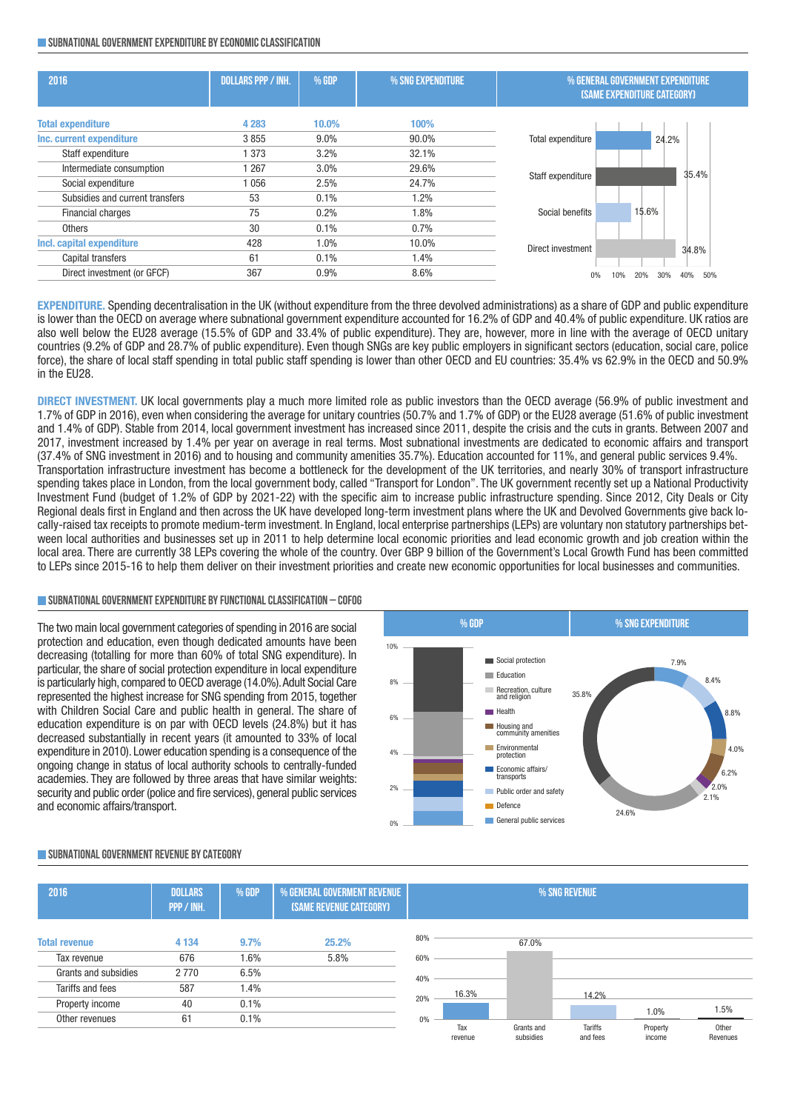#### **SUBNATIONAL GOVERNMENT EXPENDITURE BY ECONOMIC CLASSIFICATION**

| 2016                            | <b>DOLLARS PPP / INH.</b> | % GDP   | % SNG EXPENDITURE | % GENERAL GOVERNMENT EXPENDITURE   |  |
|---------------------------------|---------------------------|---------|-------------------|------------------------------------|--|
|                                 |                           |         |                   | <b>(SAME EXPENDITURE CATEGORY)</b> |  |
| <b>Total expenditure</b>        | 4 2 8 3                   | 10.0%   | 100%              |                                    |  |
| Inc. current expenditure        | 3855                      | $9.0\%$ | 90.0%             | Total expenditure<br>24.2%         |  |
| Staff expenditure               | 373                       | 3.2%    | 32.1%             |                                    |  |
| Intermediate consumption        | 1 2 6 7                   | 3.0%    | 29.6%             | 35.4%<br>Staff expenditure         |  |
| Social expenditure              | 1056                      | 2.5%    | 24.7%             |                                    |  |
| Subsidies and current transfers | 53                        | 0.1%    | $1.2\%$           |                                    |  |
| Financial charges               | 75                        | 0.2%    | $1.8\%$           | 15.6%<br>Social benefits           |  |
| Others                          | 30                        | 0.1%    | 0.7%              |                                    |  |
| Incl. capital expenditure       | 428                       | 1.0%    | 10.0%             | Direct investment                  |  |
| Capital transfers               | 61                        | 0.1%    | 1.4%              | 34.8%                              |  |
| Direct investment (or GFCF)     | 367                       | 0.9%    | 8.6%              | 50%<br>30%<br>40%<br>10%           |  |

**EXPENDITURE.** Spending decentralisation in the UK (without expenditure from the three devolved administrations) as a share of GDP and public expenditure is lower than the OECD on average where subnational government expenditure accounted for 16.2% of GDP and 40.4% of public expenditure. UK ratios are also well below the EU28 average (15.5% of GDP and 33.4% of public expenditure). They are, however, more in line with the average of OECD unitary countries (9.2% of GDP and 28.7% of public expenditure). Even though SNGs are key public employers in significant sectors (education, social care, police force), the share of local staff spending in total public staff spending is lower than other OECD and EU countries: 35.4% vs 62.9% in the OECD and 50.9% in the EU28.

**DIRECT INVESTMENT.** UK local governments play a much more limited role as public investors than the OECD average (56.9% of public investment and 1.7% of GDP in 2016), even when considering the average for unitary countries (50.7% and 1.7% of GDP) or the EU28 average (51.6% of public investment and 1.4% of GDP). Stable from 2014, local government investment has increased since 2011, despite the crisis and the cuts in grants. Between 2007 and 2017, investment increased by 1.4% per year on average in real terms. Most subnational investments are dedicated to economic affairs and transport (37.4% of SNG investment in 2016) and to housing and community amenities 35.7%). Education accounted for 11%, and general public services 9.4%. Transportation infrastructure investment has become a bottleneck for the development of the UK territories, and nearly 30% of transport infrastructure spending takes place in London, from the local government body, called "Transport for London". The UK government recently set up a National Productivity Investment Fund (budget of 1.2% of GDP by 2021-22) with the specific aim to increase public infrastructure spending. Since 2012, City Deals or City Regional deals first in England and then across the UK have developed long-term investment plans where the UK and Devolved Governments give back locally-raised tax receipts to promote medium-term investment. In England, local enterprise partnerships (LEPs) are voluntary non statutory partnerships between local authorities and businesses set up in 2011 to help determine local economic priorities and lead economic growth and job creation within the local area. There are currently 38 LEPs covering the whole of the country. Over GBP 9 billion of the Government's Local Growth Fund has been committed to LEPs since 2015-16 to help them deliver on their investment priorities and create new economic opportunities for local businesses and communities.

### **SUBNATIONALGOVERNMENTEXPENDITURE BYFUNCTIONALCLASSIFICATION – COFOG**

The two main local government categories of spending in 2016 are social protection and education, even though dedicated amounts have been decreasing (totalling for more than 60% of total SNG expenditure). In particular, the share of social protection expenditure in local expenditure is particularly high, compared to OECD average (14.0%). Adult Social Care represented the highest increase for SNG spending from 2015, together with Children Social Care and public health in general. The share of education expenditure is on par with OECD levels (24.8%) but it has decreased substantially in recent years (it amounted to 33% of local expenditure in 2010). Lower education spending is a consequence of the ongoing change in status of local authority schools to centrally-funded academies. They are followed by three areas that have similar weights: security and public order (police and fire services), general public services and economic affairs/transport.



#### **2016 dollars %GDP %generalgoverment revenue %sng revenue ppp/inh. (same revenuecategory) Total revenue 4 134 9.7% 25.2%** Tax revenue 676 1.6% 5.8% Grants and subsidies 2 770 6.5% Tariffs and fees 587 1.4% Property income 40 0.1% Other revenues 61 0.1% 0% 20% 40% 60% 80% Tax revenue Grants and subsidies Tariffs and fees Property incom **Other** Revenues 16.3% 67.0% 14.2% 1.0% 1.5%

### **SUBNATIONALGOVERNMENT REVENUE BYCATEGORY**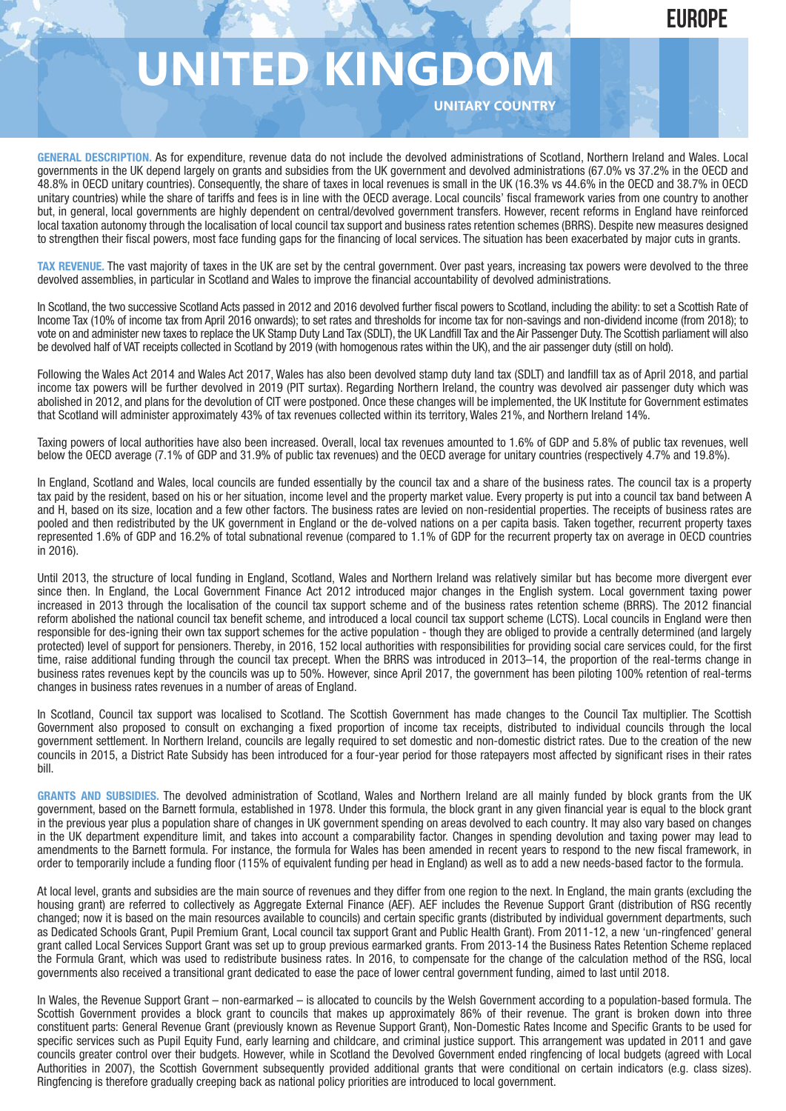# **UNITED KINGDO**

**UNITARY COUNTRY**

**GENERAL DESCRIPTION.** As for expenditure, revenue data do not include the devolved administrations of Scotland, Northern Ireland and Wales. Local governments in the UK depend largely on grants and subsidies from the UK government and devolved administrations (67.0% vs 37.2% in the OECD and 48.8% in OECD unitary countries). Consequently, the share of taxes in local revenues is small in the UK (16.3% vs 44.6% in the OECD and 38.7% in OECD unitary countries) while the share of tariffs and fees is in line with the OECD average. Local councils' fiscal framework varies from one country to another but, in general, local governments are highly dependent on central/devolved government transfers. However, recent reforms in England have reinforced local taxation autonomy through the localisation of local council tax support and business rates retention schemes (BRRS). Despite new measures designed to strengthen their fiscal powers, most face funding gaps for the financing of local services. The situation has been exacerbated by major cuts in grants.

**TAX REVENUE.** The vast majority of taxes in the UK are set by the central government. Over past years, increasing tax powers were devolved to the three devolved assemblies, in particular in Scotland and Wales to improve the financial accountability of devolved administrations.

In Scotland, the two successive Scotland Acts passed in 2012 and 2016 devolved further fiscal powers to Scotland, including the ability: to set a Scottish Rate of Income Tax (10% of income tax from April 2016 onwards); to set rates and thresholds for income tax for non-savings and non-dividend income (from 2018); to vote on and administer new taxes to replace the UK Stamp Duty Land Tax (SDLT), the UK Landfill Tax and the Air Passenger Duty. The Scottish parliament will also be devolved half of VAT receipts collected in Scotland by 2019 (with homogenous rates within the UK), and the air passenger duty (still on hold).

Following the Wales Act 2014 and Wales Act 2017, Wales has also been devolved stamp duty land tax (SDLT) and landfill tax as of April 2018, and partial income tax powers will be further devolved in 2019 (PIT surtax). Regarding Northern Ireland, the country was devolved air passenger duty which was abolished in 2012, and plans for the devolution of CIT were postponed. Once these changes will be implemented, the UK Institute for Government estimates that Scotland will administer approximately 43% of tax revenues collected within its territory, Wales 21%, and Northern Ireland 14%.

Taxing powers of local authorities have also been increased. Overall, local tax revenues amounted to 1.6% of GDP and 5.8% of public tax revenues, well below the OECD average (7.1% of GDP and 31.9% of public tax revenues) and the OECD average for unitary countries (respectively 4.7% and 19.8%).

In England, Scotland and Wales, local councils are funded essentially by the council tax and a share of the business rates. The council tax is a property tax paid by the resident, based on his or her situation, income level and the property market value. Every property is put into a council tax band between A and H, based on its size, location and a few other factors. The business rates are levied on non-residential properties. The receipts of business rates are pooled and then redistributed by the UK government in England or the de-volved nations on a per capita basis. Taken together, recurrent property taxes represented 1.6% of GDP and 16.2% of total subnational revenue (compared to 1.1% of GDP for the recurrent property tax on average in OECD countries in 2016).

Until 2013, the structure of local funding in England, Scotland, Wales and Northern Ireland was relatively similar but has become more divergent ever since then. In England, the Local Government Finance Act 2012 introduced major changes in the English system. Local government taxing power increased in 2013 through the localisation of the council tax support scheme and of the business rates retention scheme (BRRS). The 2012 financial reform abolished the national council tax benefit scheme, and introduced a local council tax support scheme (LCTS). Local councils in England were then responsible for des-igning their own tax support schemes for the active population - though they are obliged to provide a centrally determined (and largely protected) level of support for pensioners. Thereby, in 2016, 152 local authorities with responsibilities for providing social care services could, for the first time, raise additional funding through the council tax precept. When the BRRS was introduced in 2013–14, the proportion of the real-terms change in business rates revenues kept by the councils was up to 50%. However, since April 2017, the government has been piloting 100% retention of real-terms changes in business rates revenues in a number of areas of England.

In Scotland, Council tax support was localised to Scotland. The Scottish Government has made changes to the Council Tax multiplier. The Scottish Government also proposed to consult on exchanging a fixed proportion of income tax receipts, distributed to individual councils through the local government settlement. In Northern Ireland, councils are legally required to set domestic and non-domestic district rates. Due to the creation of the new councils in 2015, a District Rate Subsidy has been introduced for a four-year period for those ratepayers most affected by significant rises in their rates bill.

**GRANTS AND SUBSIDIES.** The devolved administration of Scotland, Wales and Northern Ireland are all mainly funded by block grants from the UK government, based on the Barnett formula, established in 1978. Under this formula, the block grant in any given financial year is equal to the block grant in the previous year plus a population share of changes in UK government spending on areas devolved to each country. It may also vary based on changes in the UK department expenditure limit, and takes into account a comparability factor. Changes in spending devolution and taxing power may lead to amendments to the Barnett formula. For instance, the formula for Wales has been amended in recent years to respond to the new fiscal framework, in order to temporarily include a funding floor (115% of equivalent funding per head in England) as well as to add a new needs-based factor to the formula.

At local level, grants and subsidies are the main source of revenues and they differ from one region to the next. In England, the main grants (excluding the housing grant) are referred to collectively as Aggregate External Finance (AEF). AEF includes the Revenue Support Grant (distribution of RSG recently changed; now it is based on the main resources available to councils) and certain specific grants (distributed by individual government departments, such as Dedicated Schools Grant, Pupil Premium Grant, Local council tax support Grant and Public Health Grant). From 2011-12, a new 'un-ringfenced' general grant called Local Services Support Grant was set up to group previous earmarked grants. From 2013-14 the Business Rates Retention Scheme replaced the Formula Grant, which was used to redistribute business rates. In 2016, to compensate for the change of the calculation method of the RSG, local governments also received a transitional grant dedicated to ease the pace of lower central government funding, aimed to last until 2018.

In Wales, the Revenue Support Grant – non-earmarked – is allocated to councils by the Welsh Government according to a population-based formula. The Scottish Government provides a block grant to councils that makes up approximately 86% of their revenue. The grant is broken down into three constituent parts: General Revenue Grant (previously known as Revenue Support Grant), Non-Domestic Rates Income and Specific Grants to be used for specific services such as Pupil Equity Fund, early learning and childcare, and criminal justice support. This arrangement was updated in 2011 and gave councils greater control over their budgets. However, while in Scotland the Devolved Government ended ringfencing of local budgets (agreed with Local Authorities in 2007), the Scottish Government subsequently provided additional grants that were conditional on certain indicators (e.g. class sizes). Ringfencing is therefore gradually creeping back as national policy priorities are introduced to local government.